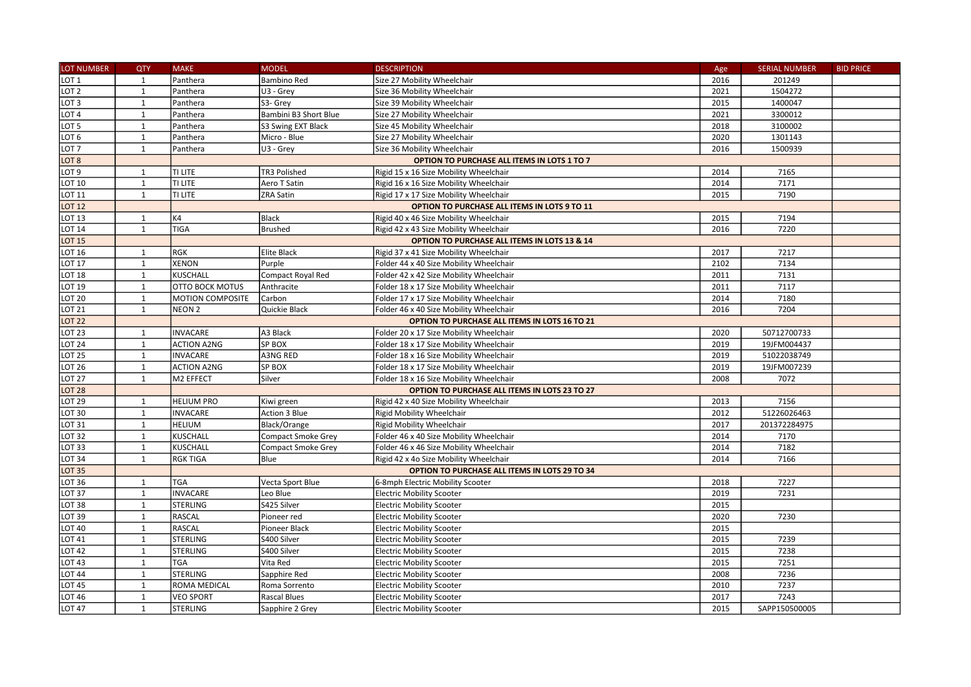| LOT NUMBER        | <b>QTY</b>   | <b>MAKE</b>                                   | <b>MODEL</b>                                            | <b>DESCRIPTION</b>                            | Age  | <b>SERIAL NUMBER</b> | <b>BID PRICE</b> |  |  |  |
|-------------------|--------------|-----------------------------------------------|---------------------------------------------------------|-----------------------------------------------|------|----------------------|------------------|--|--|--|
| LOT <sub>1</sub>  | 1            | Panthera                                      | <b>Bambino Red</b>                                      | Size 27 Mobility Wheelchair                   | 2016 | 201249               |                  |  |  |  |
| LOT <sub>2</sub>  | $\mathbf{1}$ | Panthera                                      | U3 - Grey                                               | Size 36 Mobility Wheelchair                   | 2021 | 1504272              |                  |  |  |  |
| LOT <sub>3</sub>  | $\mathbf{1}$ | Panthera                                      | S3- Grey                                                | Size 39 Mobility Wheelchair                   | 2015 | 1400047              |                  |  |  |  |
| LOT <sub>4</sub>  | $\mathbf{1}$ | Panthera                                      | Bambini B3 Short Blue                                   | Size 27 Mobility Wheelchair                   | 2021 | 3300012              |                  |  |  |  |
| LOT <sub>5</sub>  | $\mathbf{1}$ | Panthera                                      | S3 Swing EXT Black                                      | Size 45 Mobility Wheelchair                   | 2018 | 3100002              |                  |  |  |  |
| LOT <sub>6</sub>  | $\mathbf{1}$ | Panthera                                      | Micro - Blue                                            | Size 27 Mobility Wheelchair                   | 2020 | 1301143              |                  |  |  |  |
| LOT <sub>7</sub>  | $\mathbf{1}$ | Panthera                                      | U3 - Grey                                               | Size 36 Mobility Wheelchair                   | 2016 | 1500939              |                  |  |  |  |
| LOT <sub>8</sub>  |              |                                               | OPTION TO PURCHASE ALL ITEMS IN LOTS 1 TO 7             |                                               |      |                      |                  |  |  |  |
| LOT <sub>9</sub>  | $\mathbf{1}$ | TI LITE                                       | <b>TR3 Polished</b>                                     | Rigid 15 x 16 Size Mobility Wheelchair        | 2014 | 7165                 |                  |  |  |  |
| <b>LOT 10</b>     | $\mathbf 1$  | TI LITE                                       | Aero T Satin                                            | Rigid 16 x 16 Size Mobility Wheelchair        | 2014 | 7171                 |                  |  |  |  |
| LOT 11            | $\mathbf{1}$ | TI LITE                                       | ZRA Satin                                               | Rigid 17 x 17 Size Mobility Wheelchair        | 2015 | 7190                 |                  |  |  |  |
| <b>LOT 12</b>     |              |                                               | OPTION TO PURCHASE ALL ITEMS IN LOTS 9 TO 11            |                                               |      |                      |                  |  |  |  |
| <b>LOT 13</b>     | $\mathbf{1}$ | K4                                            | Black                                                   | Rigid 40 x 46 Size Mobility Wheelchair        | 2015 | 7194                 |                  |  |  |  |
| <b>LOT 14</b>     | $\mathbf{1}$ | <b>TIGA</b>                                   | Brushed                                                 | Rigid 42 x 43 Size Mobility Wheelchair        | 2016 | 7220                 |                  |  |  |  |
| <b>LOT 15</b>     |              |                                               | <b>OPTION TO PURCHASE ALL ITEMS IN LOTS 13 &amp; 14</b> |                                               |      |                      |                  |  |  |  |
| <b>LOT 16</b>     | $\mathbf{1}$ | RGK                                           | Elite Black                                             | Rigid 37 x 41 Size Mobility Wheelchair        | 2017 | 7217                 |                  |  |  |  |
| LOT 17            | $\mathbf 1$  | <b>XENON</b>                                  | Purple                                                  | Folder 44 x 40 Size Mobility Wheelchair       | 2102 | 7134                 |                  |  |  |  |
| <b>LOT 18</b>     | $\mathbf{1}$ | KUSCHALL                                      | Compact Royal Red                                       | Folder 42 x 42 Size Mobility Wheelchair       | 2011 | 7131                 |                  |  |  |  |
| <b>LOT 19</b>     | $\mathbf{1}$ | OTTO BOCK MOTUS                               | Anthracite                                              | Folder 18 x 17 Size Mobility Wheelchair       | 2011 | 7117                 |                  |  |  |  |
| <b>LOT 20</b>     | $\mathbf{1}$ | MOTION COMPOSITE                              | Carbon                                                  | Folder 17 x 17 Size Mobility Wheelchair       | 2014 | 7180                 |                  |  |  |  |
| <b>LOT 21</b>     | $\mathbf{1}$ | NEON <sub>2</sub>                             | Quickie Black                                           | Folder 46 x 40 Size Mobility Wheelchair       | 2016 | 7204                 |                  |  |  |  |
| <b>LOT 22</b>     |              |                                               |                                                         | OPTION TO PURCHASE ALL ITEMS IN LOTS 16 TO 21 |      |                      |                  |  |  |  |
| <b>LOT 23</b>     | 1            | <b>INVACARE</b>                               | A3 Black                                                | Folder 20 x 17 Size Mobility Wheelchair       | 2020 | 50712700733          |                  |  |  |  |
| <b>LOT 24</b>     | 1            | <b>ACTION A2NG</b>                            | SP BOX                                                  | Folder 18 x 17 Size Mobility Wheelchair       | 2019 | 19JFM004437          |                  |  |  |  |
| <b>LOT 25</b>     | $\mathbf{1}$ | <b>INVACARE</b>                               | A3NG RED                                                | Folder 18 x 16 Size Mobility Wheelchair       | 2019 | 51022038749          |                  |  |  |  |
| LOT 26            | $\mathbf 1$  | <b>ACTION A2NG</b>                            | SP BOX                                                  | Folder 18 x 17 Size Mobility Wheelchair       | 2019 | 19JFM007239          |                  |  |  |  |
| <b>LOT 27</b>     | $\mathbf{1}$ | M2 EFFECT                                     | Silver                                                  | Folder 18 x 16 Size Mobility Wheelchair       | 2008 | 7072                 |                  |  |  |  |
| <b>LOT 28</b>     |              |                                               |                                                         | OPTION TO PURCHASE ALL ITEMS IN LOTS 23 TO 27 |      |                      |                  |  |  |  |
| LOT 29            | $\mathbf{1}$ | <b>HELIUM PRO</b>                             | Kiwi green                                              | Rigid 42 x 40 Size Mobility Wheelchair        | 2013 | 7156                 |                  |  |  |  |
| LOT <sub>30</sub> | $\mathbf{1}$ | INVACARE                                      | Action 3 Blue                                           | Rigid Mobility Wheelchair                     | 2012 | 51226026463          |                  |  |  |  |
| LOT 31            | 1            | <b>HELIUM</b>                                 | Black/Orange                                            | <b>Rigid Mobility Wheelchair</b>              | 2017 | 201372284975         |                  |  |  |  |
| <b>LOT 32</b>     | $\mathbf{1}$ | <b>KUSCHALL</b>                               | Compact Smoke Grey                                      | Folder 46 x 40 Size Mobility Wheelchair       | 2014 | 7170                 |                  |  |  |  |
| <b>LOT 33</b>     | $\mathbf{1}$ | <b>KUSCHALL</b>                               | <b>Compact Smoke Grey</b>                               | Folder 46 x 46 Size Mobility Wheelchair       | 2014 | 7182                 |                  |  |  |  |
| <b>LOT 34</b>     | $\mathbf{1}$ | <b>RGK TIGA</b>                               | Blue                                                    | Rigid 42 x 4o Size Mobility Wheelchair        | 2014 | 7166                 |                  |  |  |  |
| <b>LOT 35</b>     |              | OPTION TO PURCHASE ALL ITEMS IN LOTS 29 TO 34 |                                                         |                                               |      |                      |                  |  |  |  |
| <b>LOT 36</b>     | $\mathbf{1}$ | <b>TGA</b>                                    | Vecta Sport Blue                                        | 6-8mph Electric Mobility Scooter              | 2018 | 7227                 |                  |  |  |  |
| <b>LOT 37</b>     | $\mathbf 1$  | <b>INVACARE</b>                               | Leo Blue                                                | <b>Electric Mobility Scooter</b>              | 2019 | 7231                 |                  |  |  |  |
| LOT 38            | $\mathbf{1}$ | STERLING                                      | S425 Silver                                             | <b>Electric Mobility Scooter</b>              | 2015 |                      |                  |  |  |  |
| LOT 39            | $\mathbf{1}$ | RASCAL                                        | Pioneer red                                             | <b>Electric Mobility Scooter</b>              | 2020 | 7230                 |                  |  |  |  |
| LOT <sub>40</sub> | $\mathbf{1}$ | RASCAL                                        | Pioneer Black                                           | <b>Electric Mobility Scooter</b>              | 2015 |                      |                  |  |  |  |
| LOT 41            | $\mathbf{1}$ | STERLING                                      | S400 Silver                                             | <b>Electric Mobility Scooter</b>              | 2015 | 7239                 |                  |  |  |  |
| LOT <sub>42</sub> | $\mathbf{1}$ | <b>STERLING</b>                               | S400 Silver                                             | <b>Electric Mobility Scooter</b>              | 2015 | 7238                 |                  |  |  |  |
| <b>LOT 43</b>     | $\mathbf{1}$ | TGA                                           | Vita Red                                                | <b>Electric Mobility Scooter</b>              | 2015 | 7251                 |                  |  |  |  |
| <b>LOT 44</b>     | $\mathbf{1}$ | <b>STERLING</b>                               | Sapphire Red                                            | <b>Electric Mobility Scooter</b>              | 2008 | 7236                 |                  |  |  |  |
| <b>LOT 45</b>     | $\mathbf{1}$ | ROMA MEDICAL                                  | Roma Sorrento                                           | <b>Electric Mobility Scooter</b>              | 2010 | 7237                 |                  |  |  |  |
| <b>LOT 46</b>     | $\mathbf{1}$ | <b>VEO SPORT</b>                              | <b>Rascal Blues</b>                                     | <b>Electric Mobility Scooter</b>              | 2017 | 7243                 |                  |  |  |  |
| <b>LOT 47</b>     | $\mathbf 1$  | <b>STERLING</b>                               | Sapphire 2 Grey                                         | <b>Electric Mobility Scooter</b>              | 2015 | SAPP150500005        |                  |  |  |  |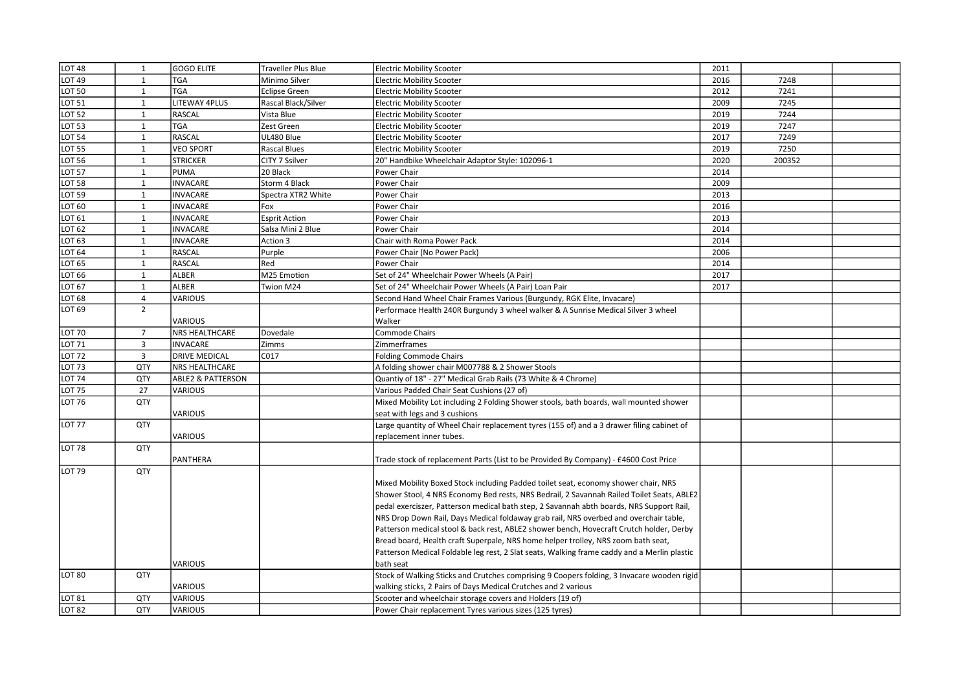| LOT 48            | 1              | <b>GOGO ELITE</b>            | Traveller Plus Blue  | <b>Electric Mobility Scooter</b>                                                            | 2011 |        |  |
|-------------------|----------------|------------------------------|----------------------|---------------------------------------------------------------------------------------------|------|--------|--|
| <b>LOT 49</b>     | $\mathbf{1}$   | <b>TGA</b>                   | Minimo Silver        | <b>Electric Mobility Scooter</b>                                                            | 2016 | 7248   |  |
| LOT 50            | 1              | <b>TGA</b>                   | <b>Eclipse Green</b> | <b>Electric Mobility Scooter</b>                                                            | 2012 | 7241   |  |
| <b>LOT 51</b>     | $\mathbf{1}$   | <b>LITEWAY 4PLUS</b>         | Rascal Black/Silver  | <b>Electric Mobility Scooter</b>                                                            | 2009 | 7245   |  |
| <b>LOT 52</b>     | $\mathbf{1}$   | <b>RASCAL</b>                | Vista Blue           | <b>Electric Mobility Scooter</b>                                                            | 2019 | 7244   |  |
| <b>LOT 53</b>     | $\mathbf{1}$   | <b>TGA</b>                   | Zest Green           | <b>Electric Mobility Scooter</b>                                                            | 2019 | 7247   |  |
| <b>LOT 54</b>     | $\mathbf{1}$   | <b>RASCAL</b>                | UL480 Blue           | <b>Electric Mobility Scooter</b>                                                            | 2017 | 7249   |  |
| <b>LOT 55</b>     | $\mathbf{1}$   | <b>VEO SPORT</b>             | <b>Rascal Blues</b>  | <b>Electric Mobility Scooter</b>                                                            | 2019 | 7250   |  |
| <b>LOT 56</b>     | $\mathbf{1}$   | <b>STRICKER</b>              | CITY 7 Ssilver       | 20" Handbike Wheelchair Adaptor Style: 102096-1                                             | 2020 | 200352 |  |
| <b>LOT 57</b>     | $\mathbf{1}$   | <b>PUMA</b>                  | 20 Black             | Power Chair                                                                                 | 2014 |        |  |
| <b>LOT 58</b>     | $\mathbf{1}$   | <b>INVACARE</b>              | Storm 4 Black        | Power Chair                                                                                 | 2009 |        |  |
| <b>LOT 59</b>     | 1              | <b>INVACARE</b>              | Spectra XTR2 White   | Power Chair                                                                                 | 2013 |        |  |
| LOT <sub>60</sub> | $\mathbf{1}$   | <b>INVACARE</b>              | Fox                  | Power Chair                                                                                 | 2016 |        |  |
| LOT 61            | $\mathbf{1}$   | <b>INVACARE</b>              | <b>Esprit Action</b> | Power Chair                                                                                 | 2013 |        |  |
| LOT 62            | $\mathbf{1}$   | <b>INVACARE</b>              | Salsa Mini 2 Blue    | Power Chair                                                                                 | 2014 |        |  |
| LOT 63            | $\mathbf{1}$   | <b>INVACARE</b>              | Action 3             | Chair with Roma Power Pack                                                                  | 2014 |        |  |
| <b>LOT 64</b>     | $\mathbf{1}$   | <b>RASCAL</b>                | Purple               | Power Chair (No Power Pack)                                                                 | 2006 |        |  |
| LOT 65            | $\mathbf{1}$   | <b>RASCAL</b>                | Red                  | Power Chair                                                                                 | 2014 |        |  |
| LOT 66            | $\mathbf{1}$   | <b>ALBER</b>                 | M25 Emotion          | Set of 24" Wheelchair Power Wheels (A Pair)                                                 | 2017 |        |  |
| LOT 67            | $\mathbf{1}$   | <b>ALBER</b>                 | Twion M24            | Set of 24" Wheelchair Power Wheels (A Pair) Loan Pair                                       | 2017 |        |  |
| LOT 68            | $\overline{4}$ | VARIOUS                      |                      | Second Hand Wheel Chair Frames Various (Burgundy, RGK Elite, Invacare)                      |      |        |  |
| LOT 69            | $\overline{2}$ |                              |                      | Performace Health 240R Burgundy 3 wheel walker & A Sunrise Medical Silver 3 wheel           |      |        |  |
|                   |                | VARIOUS                      |                      | Walker                                                                                      |      |        |  |
| <b>LOT 70</b>     | $\overline{7}$ | NRS HEALTHCARE               | Dovedale             | <b>Commode Chairs</b>                                                                       |      |        |  |
| LOT <sub>71</sub> | 3              | <b>INVACARE</b>              | Zimms                | Zimmerframes                                                                                |      |        |  |
| <b>LOT 72</b>     | $\overline{3}$ | <b>DRIVE MEDICAL</b>         | C017                 | <b>Folding Commode Chairs</b>                                                               |      |        |  |
| <b>LOT 73</b>     | QTY            | NRS HEALTHCARE               |                      | A folding shower chair M007788 & 2 Shower Stools                                            |      |        |  |
| <b>LOT 74</b>     | QTY            | <b>ABLE2 &amp; PATTERSON</b> |                      | Quantiy of 18" - 27" Medical Grab Rails (73 White & 4 Chrome)                               |      |        |  |
| <b>LOT 75</b>     | 27             | <b>VARIOUS</b>               |                      | Various Padded Chair Seat Cushions (27 of)                                                  |      |        |  |
| LOT 76            | QTY            |                              |                      | Mixed Mobility Lot including 2 Folding Shower stools, bath boards, wall mounted shower      |      |        |  |
|                   |                | VARIOUS                      |                      | seat with legs and 3 cushions                                                               |      |        |  |
| <b>LOT 77</b>     | QTY            |                              |                      | Large quantity of Wheel Chair replacement tyres (155 of) and a 3 drawer filing cabinet of   |      |        |  |
|                   |                | VARIOUS                      |                      | eplacement inner tubes.                                                                     |      |        |  |
| <b>LOT 78</b>     | QTY            |                              |                      |                                                                                             |      |        |  |
|                   |                | PANTHERA                     |                      | Trade stock of replacement Parts (List to be Provided By Company) - £4600 Cost Price        |      |        |  |
| LOT <sub>79</sub> | QTY            |                              |                      |                                                                                             |      |        |  |
|                   |                |                              |                      | Mixed Mobility Boxed Stock including Padded toilet seat, economy shower chair, NRS          |      |        |  |
|                   |                |                              |                      | Shower Stool, 4 NRS Economy Bed rests, NRS Bedrail, 2 Savannah Railed Toilet Seats, ABLE2   |      |        |  |
|                   |                |                              |                      | pedal exerciszer, Patterson medical bath step, 2 Savannah abth boards, NRS Support Rail,    |      |        |  |
|                   |                |                              |                      | NRS Drop Down Rail, Days Medical foldaway grab rail, NRS overbed and overchair table,       |      |        |  |
|                   |                |                              |                      | Patterson medical stool & back rest, ABLE2 shower bench, Hovecraft Crutch holder, Derby     |      |        |  |
|                   |                |                              |                      | Bread board, Health craft Superpale, NRS home helper trolley, NRS zoom bath seat,           |      |        |  |
|                   |                |                              |                      | Patterson Medical Foldable leg rest, 2 Slat seats, Walking frame caddy and a Merlin plastic |      |        |  |
|                   |                | VARIOUS                      |                      | bath seat                                                                                   |      |        |  |
| <b>LOT 80</b>     | QTY            |                              |                      | Stock of Walking Sticks and Crutches comprising 9 Coopers folding, 3 Invacare wooden rigid  |      |        |  |
|                   |                | VARIOUS                      |                      | walking sticks, 2 Pairs of Days Medical Crutches and 2 various                              |      |        |  |
| <b>LOT 81</b>     | QTY            | <b>VARIOUS</b>               |                      | Scooter and wheelchair storage covers and Holders (19 of)                                   |      |        |  |
| LOT <sub>82</sub> | QTY            | <b>VARIOUS</b>               |                      | Power Chair replacement Tyres various sizes (125 tyres)                                     |      |        |  |